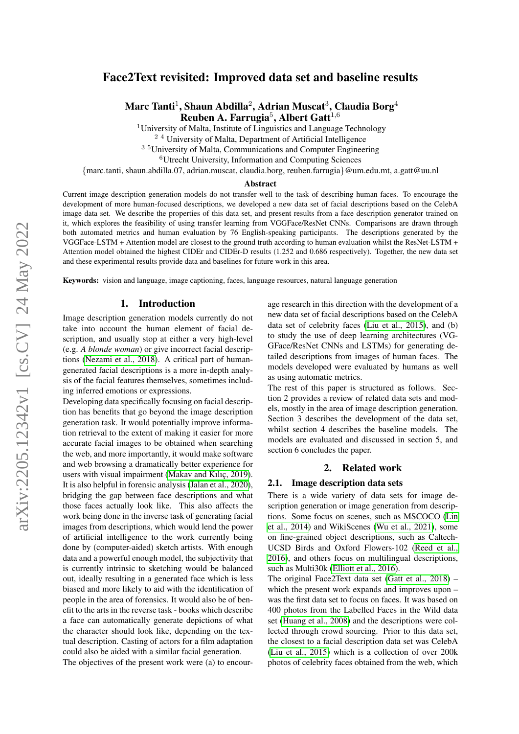# arXiv:2205.12342v1 [cs.CV] 24 May 2022 arXiv:2205.12342v1 [cs.CV] 24 May 2022

# Face2Text revisited: Improved data set and baseline results

Marc Tanti $^1$ , Shaun Abdilla $^2$ , Adrian Muscat $^3$ , Claudia Borg $^4$ Reuben A. Farrugia $^5,$  Albert Gatt $^{1,6}\,$ 

<sup>1</sup>University of Malta, Institute of Linguistics and Language Technology

<sup>24</sup> University of Malta, Department of Artificial Intelligence

<sup>35</sup>University of Malta, Communications and Computer Engineering

<sup>6</sup>Utrecht University, Information and Computing Sciences

{marc.tanti, shaun.abdilla.07, adrian.muscat, claudia.borg, reuben.farrugia}@um.edu.mt, a.gatt@uu.nl

### Abstract

Current image description generation models do not transfer well to the task of describing human faces. To encourage the development of more human-focused descriptions, we developed a new data set of facial descriptions based on the CelebA image data set. We describe the properties of this data set, and present results from a face description generator trained on it, which explores the feasibility of using transfer learning from VGGFace/ResNet CNNs. Comparisons are drawn through both automated metrics and human evaluation by 76 English-speaking participants. The descriptions generated by the VGGFace-LSTM + Attention model are closest to the ground truth according to human evaluation whilst the ResNet-LSTM + Attention model obtained the highest CIDEr and CIDEr-D results (1.252 and 0.686 respectively). Together, the new data set and these experimental results provide data and baselines for future work in this area.

Keywords: vision and language, image captioning, faces, language resources, natural language generation

# 1. Introduction

Image description generation models currently do not take into account the human element of facial description, and usually stop at either a very high-level (e.g. *A blonde woman*) or give incorrect facial descriptions [\(Nezami et al., 2018\)](#page-5-0). A critical part of humangenerated facial descriptions is a more in-depth analysis of the facial features themselves, sometimes including inferred emotions or expressions.

Developing data specifically focusing on facial description has benefits that go beyond the image description generation task. It would potentially improve information retrieval to the extent of making it easier for more accurate facial images to be obtained when searching the web, and more importantly, it would make software and web browsing a dramatically better experience for users with visual impairment (Makav and Kılıc, 2019). It is also helpful in forensic analysis [\(Jalan et al., 2020\)](#page-5-2), bridging the gap between face descriptions and what those faces actually look like. This also affects the work being done in the inverse task of generating facial images from descriptions, which would lend the power of artificial intelligence to the work currently being done by (computer-aided) sketch artists. With enough data and a powerful enough model, the subjectivity that is currently intrinsic to sketching would be balanced out, ideally resulting in a generated face which is less biased and more likely to aid with the identification of people in the area of forensics. It would also be of benefit to the arts in the reverse task - books which describe a face can automatically generate depictions of what the character should look like, depending on the textual description. Casting of actors for a film adaptation could also be aided with a similar facial generation.

The objectives of the present work were (a) to encour-

age research in this direction with the development of a new data set of facial descriptions based on the CelebA data set of celebrity faces [\(Liu et al., 2015\)](#page-5-3), and (b) to study the use of deep learning architectures (VG-GFace/ResNet CNNs and LSTMs) for generating detailed descriptions from images of human faces. The models developed were evaluated by humans as well as using automatic metrics.

The rest of this paper is structured as follows. Section 2 provides a review of related data sets and models, mostly in the area of image description generation. Section 3 describes the development of the data set, whilst section 4 describes the baseline models. The models are evaluated and discussed in section 5, and section 6 concludes the paper.

### 2. Related work

### 2.1. Image description data sets

There is a wide variety of data sets for image description generation or image generation from descriptions. Some focus on scenes, such as MSCOCO [\(Lin](#page-5-4) [et al., 2014\)](#page-5-4) and WikiScenes [\(Wu et al., 2021\)](#page-5-5), some on fine-grained object descriptions, such as Caltech-UCSD Birds and Oxford Flowers-102 [\(Reed et al.,](#page-5-6) [2016\)](#page-5-6), and others focus on multilingual descriptions, such as Multi30k [\(Elliott et al., 2016\)](#page-5-7).

The original Face2Text data set [\(Gatt et al., 2018\)](#page-5-8) – which the present work expands and improves upon – was the first data set to focus on faces. It was based on 400 photos from the Labelled Faces in the Wild data set [\(Huang et al., 2008\)](#page-5-9) and the descriptions were collected through crowd sourcing. Prior to this data set, the closest to a facial description data set was CelebA [\(Liu et al., 2015\)](#page-5-3) which is a collection of over 200k photos of celebrity faces obtained from the web, which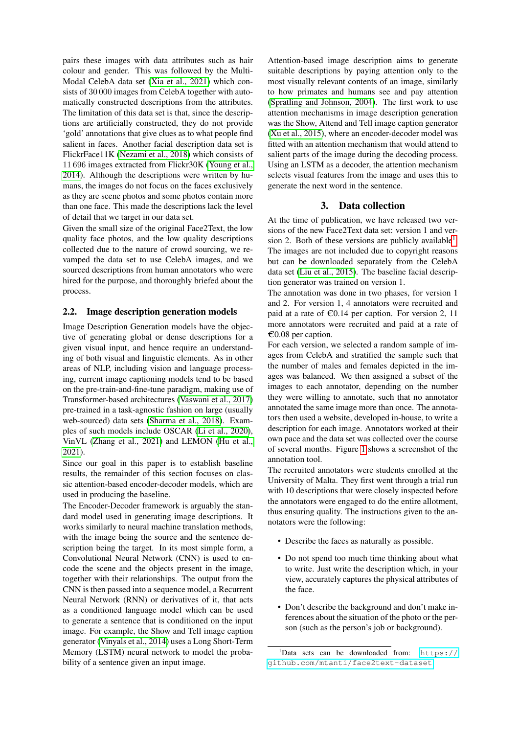pairs these images with data attributes such as hair colour and gender. This was followed by the Multi-Modal CelebA data set [\(Xia et al., 2021\)](#page-5-10) which consists of 30 000 images from CelebA together with automatically constructed descriptions from the attributes. The limitation of this data set is that, since the descriptions are artificially constructed, they do not provide 'gold' annotations that give clues as to what people find salient in faces. Another facial description data set is FlickrFace11K [\(Nezami et al., 2018\)](#page-5-0) which consists of 11 696 images extracted from Flickr30K [\(Young et al.,](#page-5-11) [2014\)](#page-5-11). Although the descriptions were written by humans, the images do not focus on the faces exclusively as they are scene photos and some photos contain more than one face. This made the descriptions lack the level of detail that we target in our data set.

Given the small size of the original Face2Text, the low quality face photos, and the low quality descriptions collected due to the nature of crowd sourcing, we revamped the data set to use CelebA images, and we sourced descriptions from human annotators who were hired for the purpose, and thoroughly briefed about the process.

## 2.2. Image description generation models

Image Description Generation models have the objective of generating global or dense descriptions for a given visual input, and hence require an understanding of both visual and linguistic elements. As in other areas of NLP, including vision and language processing, current image captioning models tend to be based on the pre-train-and-fine-tune paradigm, making use of Transformer-based architectures [\(Vaswani et al., 2017\)](#page-5-12) pre-trained in a task-agnostic fashion on large (usually web-sourced) data sets [\(Sharma et al., 2018\)](#page-5-13). Examples of such models include OSCAR [\(Li et al., 2020\)](#page-5-14), VinVL [\(Zhang et al., 2021\)](#page-6-0) and LEMON [\(Hu et al.,](#page-5-15) [2021\)](#page-5-15).

Since our goal in this paper is to establish baseline results, the remainder of this section focuses on classic attention-based encoder-decoder models, which are used in producing the baseline.

The Encoder-Decoder framework is arguably the standard model used in generating image descriptions. It works similarly to neural machine translation methods, with the image being the source and the sentence description being the target. In its most simple form, a Convolutional Neural Network (CNN) is used to encode the scene and the objects present in the image, together with their relationships. The output from the CNN is then passed into a sequence model, a Recurrent Neural Network (RNN) or derivatives of it, that acts as a conditioned language model which can be used to generate a sentence that is conditioned on the input image. For example, the Show and Tell image caption generator [\(Vinyals et al., 2014\)](#page-5-16) uses a Long Short-Term Memory (LSTM) neural network to model the probability of a sentence given an input image.

Attention-based image description aims to generate suitable descriptions by paying attention only to the most visually relevant contents of an image, similarly to how primates and humans see and pay attention [\(Spratling and Johnson, 2004\)](#page-5-17). The first work to use attention mechanisms in image description generation was the Show, Attend and Tell image caption generator [\(Xu et al., 2015\)](#page-5-18), where an encoder-decoder model was fitted with an attention mechanism that would attend to salient parts of the image during the decoding process. Using an LSTM as a decoder, the attention mechanism selects visual features from the image and uses this to generate the next word in the sentence.

# 3. Data collection

At the time of publication, we have released two versions of the new Face2Text data set: version 1 and ver-sion 2. Both of these versions are publicly available<sup>[1](#page-1-0)</sup>. The images are not included due to copyright reasons but can be downloaded separately from the CelebA data set [\(Liu et al., 2015\)](#page-5-3). The baseline facial description generator was trained on version 1.

The annotation was done in two phases, for version 1 and 2. For version 1, 4 annotators were recruited and paid at a rate of  $\epsilon 0.14$  per caption. For version 2, 11 more annotators were recruited and paid at a rate of  $E0.08$  per caption.

For each version, we selected a random sample of images from CelebA and stratified the sample such that the number of males and females depicted in the images was balanced. We then assigned a subset of the images to each annotator, depending on the number they were willing to annotate, such that no annotator annotated the same image more than once. The annotators then used a website, developed in-house, to write a description for each image. Annotators worked at their own pace and the data set was collected over the course of several months. Figure [1](#page-2-0) shows a screenshot of the annotation tool.

The recruited annotators were students enrolled at the University of Malta. They first went through a trial run with 10 descriptions that were closely inspected before the annotators were engaged to do the entire allotment, thus ensuring quality. The instructions given to the annotators were the following:

- Describe the faces as naturally as possible.
- Do not spend too much time thinking about what to write. Just write the description which, in your view, accurately captures the physical attributes of the face.
- Don't describe the background and don't make inferences about the situation of the photo or the person (such as the person's job or background).

<span id="page-1-0"></span> $1$ Data sets can be downloaded from: [https://](https://github.com/mtanti/face2text-dataset) [github.com/mtanti/face2text-dataset](https://github.com/mtanti/face2text-dataset).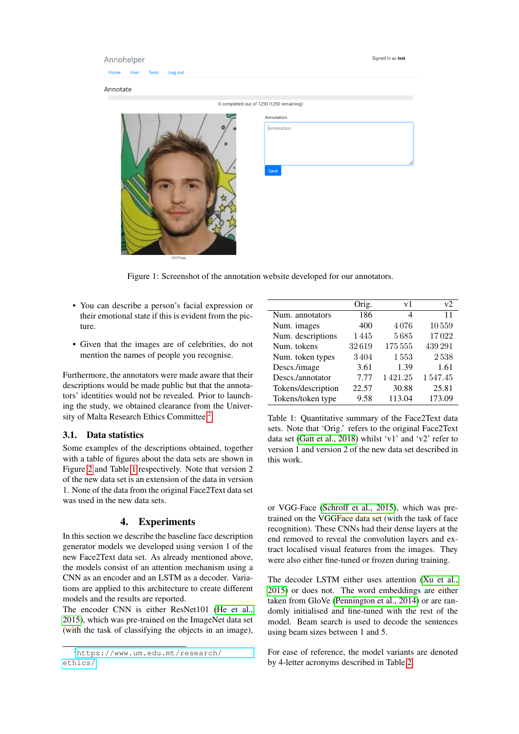<span id="page-2-0"></span>

| Annohelper                               | Signed in as test                |
|------------------------------------------|----------------------------------|
| Home<br>User<br><b>Tasks</b><br>Log out  |                                  |
| Annotate                                 |                                  |
| 0 completed out of 1250 (1250 remaining) |                                  |
|                                          | Annotation<br>Annotation<br>Save |

Figure 1: Screenshot of the annotation website developed for our annotators.

- You can describe a person's facial expression or their emotional state if this is evident from the picture.
- Given that the images are of celebrities, do not mention the names of people you recognise.

Furthermore, the annotators were made aware that their descriptions would be made public but that the annotators' identities would not be revealed. Prior to launching the study, we obtained clearance from the Univer-sity of Malta Research Ethics Committee.<sup>[2](#page-2-1)</sup>

# 3.1. Data statistics

Some examples of the descriptions obtained, together with a table of figures about the data sets are shown in Figure [2](#page-3-0) and Table [1](#page-2-2) respectively. Note that version 2 of the new data set is an extension of the data in version 1. None of the data from the original Face2Text data set was used in the new data sets.

## 4. Experiments

In this section we describe the baseline face description generator models we developed using version 1 of the new Face2Text data set. As already mentioned above, the models consist of an attention mechanism using a CNN as an encoder and an LSTM as a decoder. Variations are applied to this architecture to create different models and the results are reported.

The encoder CNN is either ResNet101 [\(He et al.,](#page-5-19) [2015\)](#page-5-19), which was pre-trained on the ImageNet data set (with the task of classifying the objects in an image),

<span id="page-2-2"></span>

|                    | Orig. | v1      | v2      |
|--------------------|-------|---------|---------|
| Num. annotators    | 186   | 4       | 11      |
| Num. images        | 400   | 4076    | 10559   |
| Num. descriptions  | 1445  | 5685    | 17022   |
| Num. tokens        | 32619 | 175 555 | 439 291 |
| Num. token types   | 3404  | 1553    | 2538    |
| Descs./image       | 3.61  | 1.39    | 1.61    |
| Descs./annotator   | 7.77  | 1421.25 | 1547.45 |
| Tokens/description | 22.57 | 30.88   | 25.81   |
| Tokens/token type  | 9.58  | 113.04  | 173.09  |

Table 1: Quantitative summary of the Face2Text data sets. Note that 'Orig.' refers to the original Face2Text data set [\(Gatt et al., 2018\)](#page-5-8) whilst 'v1' and 'v2' refer to version 1 and version 2 of the new data set described in this work.

or VGG-Face [\(Schroff et al., 2015\)](#page-5-20), which was pretrained on the VGGFace data set (with the task of face recognition). These CNNs had their dense layers at the end removed to reveal the convolution layers and extract localised visual features from the images. They were also either fine-tuned or frozen during training.

The decoder LSTM either uses attention [\(Xu et al.,](#page-5-18) [2015\)](#page-5-18) or does not. The word embeddings are either taken from GloVe [\(Pennington et al., 2014\)](#page-5-21) or are randomly initialised and fine-tuned with the rest of the model. Beam search is used to decode the sentences using beam sizes between 1 and 5.

For ease of reference, the model variants are denoted by 4-letter acronyms described in Table [2.](#page-3-1)

<span id="page-2-1"></span><sup>2</sup>[https://www.um.edu.mt/research/](https://www.um.edu.mt/research/ethics/) [ethics/](https://www.um.edu.mt/research/ethics/)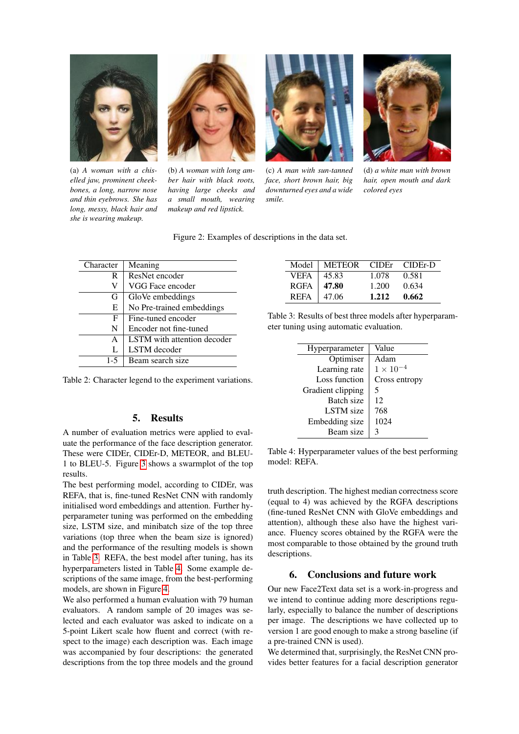<span id="page-3-0"></span>

(a) *A woman with a chiselled jaw, prominent cheekbones, a long, narrow nose and thin eyebrows. She has long, messy, black hair and she is wearing makeup.*



(b) *A woman with long amber hair with black roots, having large cheeks and a small mouth, wearing makeup and red lipstick.*



(c) *A man with sun-tanned face, short brown hair, big downturned eyes and a wide smile.*



(d) *a white man with brown hair, open mouth and dark colored eyes*

Figure 2: Examples of descriptions in the data set.

<span id="page-3-1"></span>

| Character | Meaning                     |
|-----------|-----------------------------|
| R         | ResNet encoder              |
| V         | VGG Face encoder            |
| G         | GloVe embeddings            |
| E         | No Pre-trained embeddings   |
| F         | Fine-tuned encoder          |
| N         | Encoder not fine-tuned      |
| A         | LSTM with attention decoder |
| L         | LSTM decoder                |
| $1 - 5$   | Beam search size            |

Table 2: Character legend to the experiment variations.

### 5. Results

A number of evaluation metrics were applied to evaluate the performance of the face description generator. These were CIDEr, CIDEr-D, METEOR, and BLEU-1 to BLEU-5. Figure [3](#page-4-0) shows a swarmplot of the top results.

The best performing model, according to CIDEr, was REFA, that is, fine-tuned ResNet CNN with randomly initialised word embeddings and attention. Further hyperparameter tuning was performed on the embedding size, LSTM size, and minibatch size of the top three variations (top three when the beam size is ignored) and the performance of the resulting models is shown in Table [3.](#page-3-2) REFA, the best model after tuning, has its hyperparameters listed in Table [4.](#page-3-3) Some example descriptions of the same image, from the best-performing models, are shown in Figure [4.](#page-4-1)

We also performed a human evaluation with 79 human evaluators. A random sample of 20 images was selected and each evaluator was asked to indicate on a 5-point Likert scale how fluent and correct (with respect to the image) each description was. Each image was accompanied by four descriptions: the generated descriptions from the top three models and the ground

<span id="page-3-2"></span>

|             | Model   METEOR CIDEr CIDEr-D |       |       |
|-------------|------------------------------|-------|-------|
| VEFA        | 45.83                        | 1.078 | 0.581 |
| RGFA        | $+47.80$                     | 1.200 | 0.634 |
| <b>REFA</b> | 47.06                        | 1.212 | 0.662 |

<span id="page-3-3"></span>Table 3: Results of best three models after hyperparameter tuning using automatic evaluation.

| Hyperparameter    | Value              |
|-------------------|--------------------|
| Optimiser         | Adam               |
| Learning rate     | $1 \times 10^{-4}$ |
| Loss function     | Cross entropy      |
| Gradient clipping | 5                  |
| Batch size        | 12.                |
| <b>LSTM</b> size  | 768                |
| Embedding size    | 1024               |
| Beam size         | 3                  |
|                   |                    |

Table 4: Hyperparameter values of the best performing model: REFA.

truth description. The highest median correctness score (equal to 4) was achieved by the RGFA descriptions (fine-tuned ResNet CNN with GloVe embeddings and attention), although these also have the highest variance. Fluency scores obtained by the RGFA were the most comparable to those obtained by the ground truth descriptions.

### 6. Conclusions and future work

Our new Face2Text data set is a work-in-progress and we intend to continue adding more descriptions regularly, especially to balance the number of descriptions per image. The descriptions we have collected up to version 1 are good enough to make a strong baseline (if a pre-trained CNN is used).

We determined that, surprisingly, the ResNet CNN provides better features for a facial description generator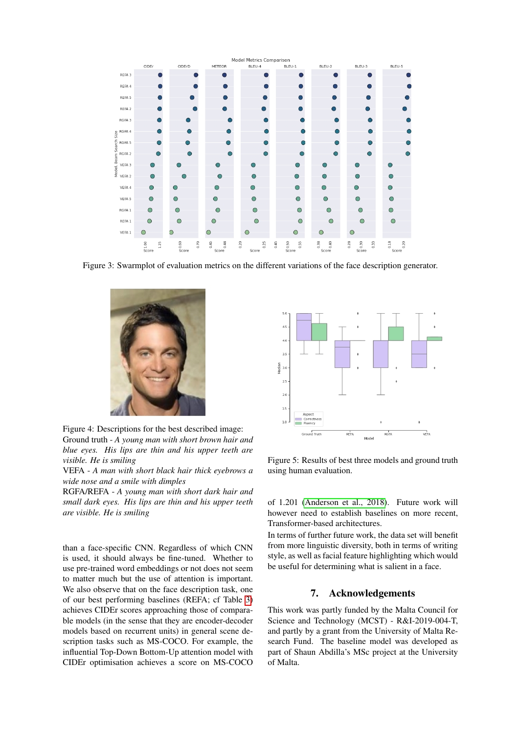<span id="page-4-0"></span>

<span id="page-4-1"></span>Figure 3: Swarmplot of evaluation metrics on the different variations of the face description generator.



Figure 4: Descriptions for the best described image: Ground truth - *A young man with short brown hair and blue eyes. His lips are thin and his upper teeth are visible. He is smiling*

VEFA - *A man with short black hair thick eyebrows a wide nose and a smile with dimples*

RGFA/REFA - *A young man with short dark hair and small dark eyes. His lips are thin and his upper teeth are visible. He is smiling*

than a face-specific CNN. Regardless of which CNN is used, it should always be fine-tuned. Whether to use pre-trained word embeddings or not does not seem to matter much but the use of attention is important. We also observe that on the face description task, one of our best performing baselines (REFA; cf Table [3\)](#page-3-2) achieves CIDEr scores approaching those of comparable models (in the sense that they are encoder-decoder models based on recurrent units) in general scene description tasks such as MS-COCO. For example, the influential Top-Down Bottom-Up attention model with CIDEr optimisation achieves a score on MS-COCO



Figure 5: Results of best three models and ground truth using human evaluation.

of 1.201 [\(Anderson et al., 2018\)](#page-5-22). Future work will however need to establish baselines on more recent, Transformer-based architectures.

In terms of further future work, the data set will benefit from more linguistic diversity, both in terms of writing style, as well as facial feature highlighting which would be useful for determining what is salient in a face.

# 7. Acknowledgements

This work was partly funded by the Malta Council for Science and Technology (MCST) - R&I-2019-004-T, and partly by a grant from the University of Malta Research Fund. The baseline model was developed as part of Shaun Abdilla's MSc project at the University of Malta.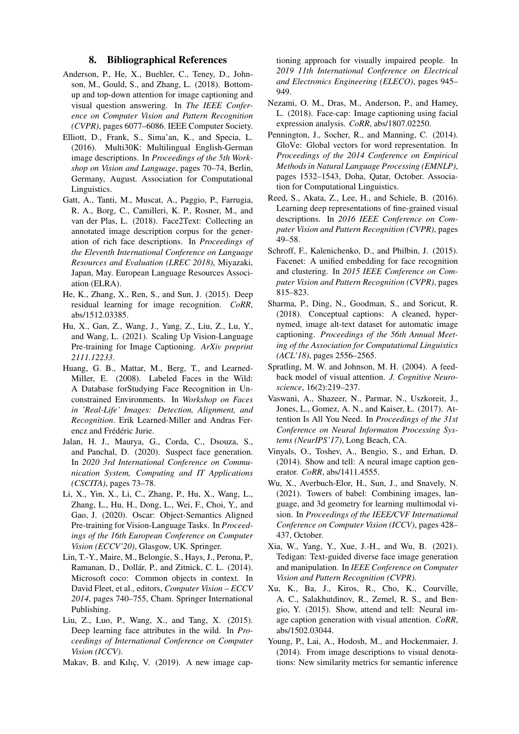### 8. Bibliographical References

- <span id="page-5-22"></span>Anderson, P., He, X., Buehler, C., Teney, D., Johnson, M., Gould, S., and Zhang, L. (2018). Bottomup and top-down attention for image captioning and visual question answering. In *The IEEE Conference on Computer Vision and Pattern Recognition (CVPR)*, pages 6077–6086. IEEE Computer Society.
- <span id="page-5-7"></span>Elliott, D., Frank, S., Sima'an, K., and Specia, L. (2016). Multi30K: Multilingual English-German image descriptions. In *Proceedings of the 5th Workshop on Vision and Language*, pages 70–74, Berlin, Germany, August. Association for Computational Linguistics.
- <span id="page-5-8"></span>Gatt, A., Tanti, M., Muscat, A., Paggio, P., Farrugia, R. A., Borg, C., Camilleri, K. P., Rosner, M., and van der Plas, L. (2018). Face2Text: Collecting an annotated image description corpus for the generation of rich face descriptions. In *Proceedings of the Eleventh International Conference on Language Resources and Evaluation (LREC 2018)*, Miyazaki, Japan, May. European Language Resources Association (ELRA).
- <span id="page-5-19"></span>He, K., Zhang, X., Ren, S., and Sun, J. (2015). Deep residual learning for image recognition. *CoRR*, abs/1512.03385.
- <span id="page-5-15"></span>Hu, X., Gan, Z., Wang, J., Yang, Z., Liu, Z., Lu, Y., and Wang, L. (2021). Scaling Up Vision-Language Pre-training for Image Captioning. *ArXiv preprint 2111.12233*.
- <span id="page-5-9"></span>Huang, G. B., Mattar, M., Berg, T., and Learned-Miller, E. (2008). Labeled Faces in the Wild: A Database forStudying Face Recognition in Unconstrained Environments. In *Workshop on Faces in 'Real-Life' Images: Detection, Alignment, and Recognition*. Erik Learned-Miller and Andras Ferencz and Frédéric Jurie.
- <span id="page-5-2"></span>Jalan, H. J., Maurya, G., Corda, C., Dsouza, S., and Panchal, D. (2020). Suspect face generation. In *2020 3rd International Conference on Communication System, Computing and IT Applications (CSCITA)*, pages 73–78.
- <span id="page-5-14"></span>Li, X., Yin, X., Li, C., Zhang, P., Hu, X., Wang, L., Zhang, L., Hu, H., Dong, L., Wei, F., Choi, Y., and Gao, J. (2020). Oscar: Object-Semantics Aligned Pre-training for Vision-Language Tasks. In *Proceedings of the 16th European Conference on Computer Vision (ECCV'20)*, Glasgow, UK. Springer.
- <span id="page-5-4"></span>Lin, T.-Y., Maire, M., Belongie, S., Hays, J., Perona, P., Ramanan, D., Dollár, P., and Zitnick, C. L. (2014). Microsoft coco: Common objects in context. In David Fleet, et al., editors, *Computer Vision – ECCV 2014*, pages 740–755, Cham. Springer International Publishing.
- <span id="page-5-3"></span>Liu, Z., Luo, P., Wang, X., and Tang, X. (2015). Deep learning face attributes in the wild. In *Proceedings of International Conference on Computer Vision (ICCV)*.
- <span id="page-5-1"></span>Makav, B. and Kılıç, V. (2019). A new image cap-

tioning approach for visually impaired people. In *2019 11th International Conference on Electrical and Electronics Engineering (ELECO)*, pages 945– 949.

- <span id="page-5-0"></span>Nezami, O. M., Dras, M., Anderson, P., and Hamey, L. (2018). Face-cap: Image captioning using facial expression analysis. *CoRR*, abs/1807.02250.
- <span id="page-5-21"></span>Pennington, J., Socher, R., and Manning, C. (2014). GloVe: Global vectors for word representation. In *Proceedings of the 2014 Conference on Empirical Methods in Natural Language Processing (EMNLP)*, pages 1532–1543, Doha, Qatar, October. Association for Computational Linguistics.
- <span id="page-5-6"></span>Reed, S., Akata, Z., Lee, H., and Schiele, B. (2016). Learning deep representations of fine-grained visual descriptions. In *2016 IEEE Conference on Computer Vision and Pattern Recognition (CVPR)*, pages 49–58.
- <span id="page-5-20"></span>Schroff, F., Kalenichenko, D., and Philbin, J. (2015). Facenet: A unified embedding for face recognition and clustering. In *2015 IEEE Conference on Computer Vision and Pattern Recognition (CVPR)*, pages 815–823.
- <span id="page-5-13"></span>Sharma, P., Ding, N., Goodman, S., and Soricut, R. (2018). Conceptual captions: A cleaned, hypernymed, image alt-text dataset for automatic image captioning. *Proceedings of the 56th Annual Meeting of the Association for Computational Linguistics (ACL'18)*, pages 2556–2565.
- <span id="page-5-17"></span>Spratling, M. W. and Johnson, M. H. (2004). A feedback model of visual attention. *J. Cognitive Neuroscience*, 16(2):219–237.
- <span id="page-5-12"></span>Vaswani, A., Shazeer, N., Parmar, N., Uszkoreit, J., Jones, L., Gomez, A. N., and Kaiser, Ł. (2017). Attention Is All You Need. In *Proceedings of the 31st Conference on Neural Informaton Processing Systems (NeurIPS'17)*, Long Beach, CA.
- <span id="page-5-16"></span>Vinyals, O., Toshev, A., Bengio, S., and Erhan, D. (2014). Show and tell: A neural image caption generator. *CoRR*, abs/1411.4555.
- <span id="page-5-5"></span>Wu, X., Averbuch-Elor, H., Sun, J., and Snavely, N. (2021). Towers of babel: Combining images, language, and 3d geometry for learning multimodal vision. In *Proceedings of the IEEE/CVF International Conference on Computer Vision (ICCV)*, pages 428– 437, October.
- <span id="page-5-10"></span>Xia, W., Yang, Y., Xue, J.-H., and Wu, B. (2021). Tedigan: Text-guided diverse face image generation and manipulation. In *IEEE Conference on Computer Vision and Pattern Recognition (CVPR)*.
- <span id="page-5-18"></span>Xu, K., Ba, J., Kiros, R., Cho, K., Courville, A. C., Salakhutdinov, R., Zemel, R. S., and Bengio, Y. (2015). Show, attend and tell: Neural image caption generation with visual attention. *CoRR*, abs/1502.03044.
- <span id="page-5-11"></span>Young, P., Lai, A., Hodosh, M., and Hockenmaier, J. (2014). From image descriptions to visual denotations: New similarity metrics for semantic inference